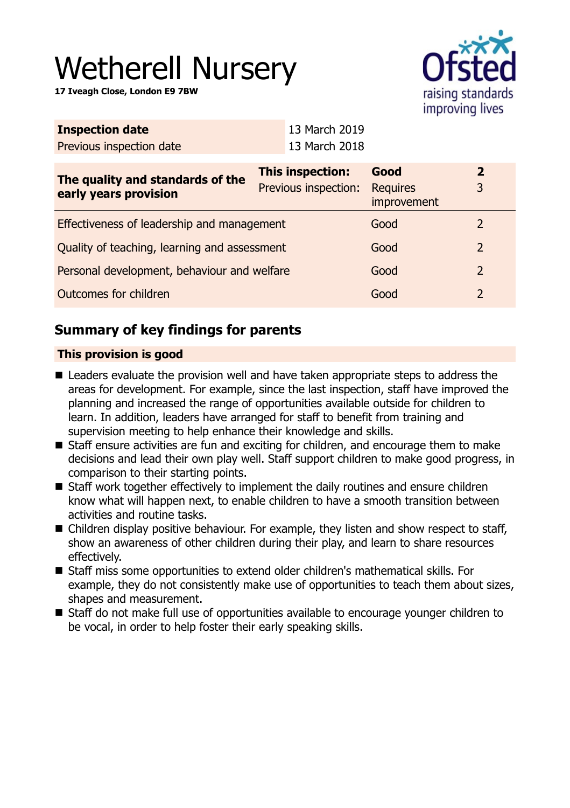# Wetherell Nursery

**17 Iveagh Close, London E9 7BW**



| <b>Inspection date</b>                                    | 13 March 2019                            |                                        |                     |
|-----------------------------------------------------------|------------------------------------------|----------------------------------------|---------------------|
| Previous inspection date                                  | 13 March 2018                            |                                        |                     |
| The quality and standards of the<br>early years provision | This inspection:<br>Previous inspection: | Good<br><b>Requires</b><br>improvement | $\overline{2}$<br>3 |
| Effectiveness of leadership and management                |                                          | Good                                   | $\overline{2}$      |
| Quality of teaching, learning and assessment              |                                          | Good                                   | $\overline{2}$      |
| Personal development, behaviour and welfare               |                                          | Good                                   | $\overline{2}$      |
| Outcomes for children                                     |                                          | Good                                   | $\overline{2}$      |
|                                                           |                                          |                                        |                     |

## **Summary of key findings for parents**

## **This provision is good**

- Leaders evaluate the provision well and have taken appropriate steps to address the areas for development. For example, since the last inspection, staff have improved the planning and increased the range of opportunities available outside for children to learn. In addition, leaders have arranged for staff to benefit from training and supervision meeting to help enhance their knowledge and skills.
- $\blacksquare$  Staff ensure activities are fun and exciting for children, and encourage them to make decisions and lead their own play well. Staff support children to make good progress, in comparison to their starting points.
- $\blacksquare$  Staff work together effectively to implement the daily routines and ensure children know what will happen next, to enable children to have a smooth transition between activities and routine tasks.
- Children display positive behaviour. For example, they listen and show respect to staff, show an awareness of other children during their play, and learn to share resources effectively.
- Staff miss some opportunities to extend older children's mathematical skills. For example, they do not consistently make use of opportunities to teach them about sizes, shapes and measurement.
- Staff do not make full use of opportunities available to encourage younger children to be vocal, in order to help foster their early speaking skills.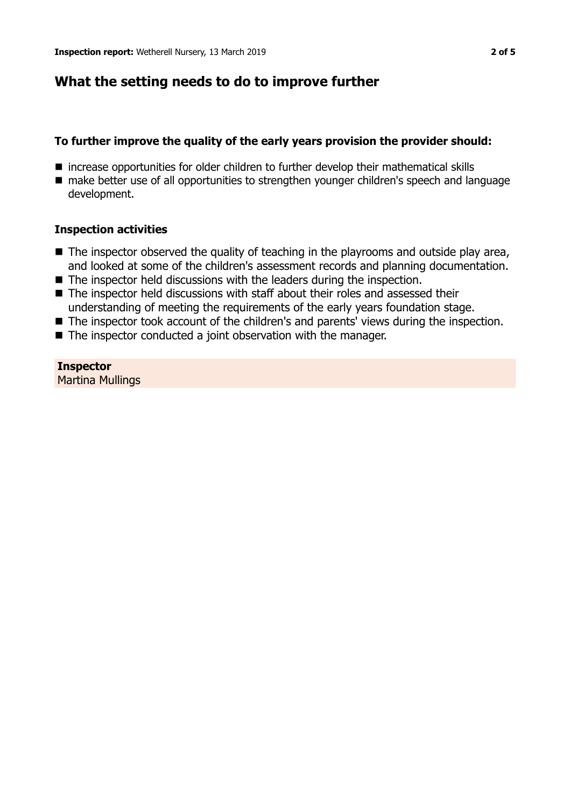## **What the setting needs to do to improve further**

## **To further improve the quality of the early years provision the provider should:**

- increase opportunities for older children to further develop their mathematical skills
- $\blacksquare$  make better use of all opportunities to strengthen younger children's speech and language development.

## **Inspection activities**

- $\blacksquare$  The inspector observed the quality of teaching in the playrooms and outside play area, and looked at some of the children's assessment records and planning documentation.
- $\blacksquare$  The inspector held discussions with the leaders during the inspection.
- $\blacksquare$  The inspector held discussions with staff about their roles and assessed their understanding of meeting the requirements of the early years foundation stage.
- The inspector took account of the children's and parents' views during the inspection.
- $\blacksquare$  The inspector conducted a joint observation with the manager.

**Inspector** Martina Mullings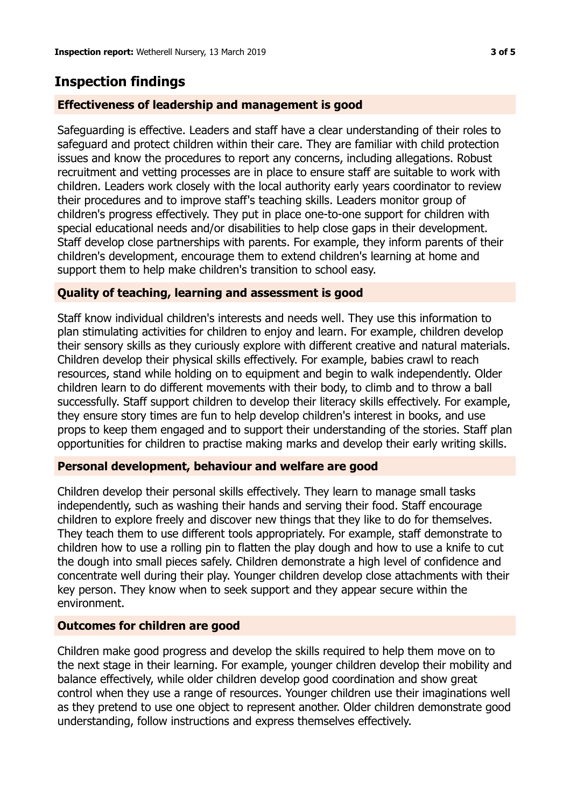# **Inspection findings**

## **Effectiveness of leadership and management is good**

Safeguarding is effective. Leaders and staff have a clear understanding of their roles to safeguard and protect children within their care. They are familiar with child protection issues and know the procedures to report any concerns, including allegations. Robust recruitment and vetting processes are in place to ensure staff are suitable to work with children. Leaders work closely with the local authority early years coordinator to review their procedures and to improve staff's teaching skills. Leaders monitor group of children's progress effectively. They put in place one-to-one support for children with special educational needs and/or disabilities to help close gaps in their development. Staff develop close partnerships with parents. For example, they inform parents of their children's development, encourage them to extend children's learning at home and support them to help make children's transition to school easy.

## **Quality of teaching, learning and assessment is good**

Staff know individual children's interests and needs well. They use this information to plan stimulating activities for children to enjoy and learn. For example, children develop their sensory skills as they curiously explore with different creative and natural materials. Children develop their physical skills effectively. For example, babies crawl to reach resources, stand while holding on to equipment and begin to walk independently. Older children learn to do different movements with their body, to climb and to throw a ball successfully. Staff support children to develop their literacy skills effectively. For example, they ensure story times are fun to help develop children's interest in books, and use props to keep them engaged and to support their understanding of the stories. Staff plan opportunities for children to practise making marks and develop their early writing skills.

## **Personal development, behaviour and welfare are good**

Children develop their personal skills effectively. They learn to manage small tasks independently, such as washing their hands and serving their food. Staff encourage children to explore freely and discover new things that they like to do for themselves. They teach them to use different tools appropriately. For example, staff demonstrate to children how to use a rolling pin to flatten the play dough and how to use a knife to cut the dough into small pieces safely. Children demonstrate a high level of confidence and concentrate well during their play. Younger children develop close attachments with their key person. They know when to seek support and they appear secure within the environment.

## **Outcomes for children are good**

Children make good progress and develop the skills required to help them move on to the next stage in their learning. For example, younger children develop their mobility and balance effectively, while older children develop good coordination and show great control when they use a range of resources. Younger children use their imaginations well as they pretend to use one object to represent another. Older children demonstrate good understanding, follow instructions and express themselves effectively.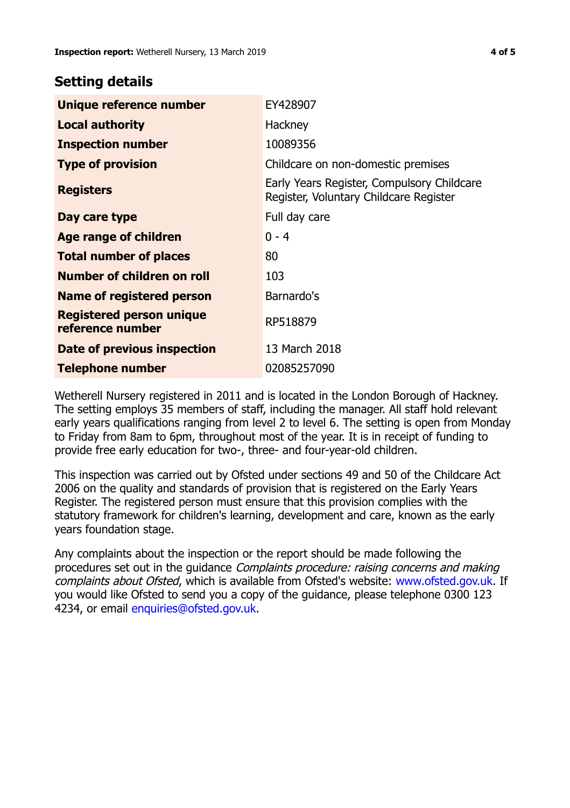## **Setting details**

| Unique reference number                             | EY428907                                                                             |
|-----------------------------------------------------|--------------------------------------------------------------------------------------|
| <b>Local authority</b>                              | Hackney                                                                              |
| <b>Inspection number</b>                            | 10089356                                                                             |
| <b>Type of provision</b>                            | Childcare on non-domestic premises                                                   |
| <b>Registers</b>                                    | Early Years Register, Compulsory Childcare<br>Register, Voluntary Childcare Register |
| Day care type                                       | Full day care                                                                        |
| <b>Age range of children</b>                        | $0 - 4$                                                                              |
| <b>Total number of places</b>                       | 80                                                                                   |
| Number of children on roll                          | 103                                                                                  |
| Name of registered person                           | Barnardo's                                                                           |
| <b>Registered person unique</b><br>reference number | RP518879                                                                             |
| Date of previous inspection                         | 13 March 2018                                                                        |
| Telephone number                                    | 02085257090                                                                          |

Wetherell Nursery registered in 2011 and is located in the London Borough of Hackney. The setting employs 35 members of staff, including the manager. All staff hold relevant early years qualifications ranging from level 2 to level 6. The setting is open from Monday to Friday from 8am to 6pm, throughout most of the year. It is in receipt of funding to provide free early education for two-, three- and four-year-old children.

This inspection was carried out by Ofsted under sections 49 and 50 of the Childcare Act 2006 on the quality and standards of provision that is registered on the Early Years Register. The registered person must ensure that this provision complies with the statutory framework for children's learning, development and care, known as the early years foundation stage.

Any complaints about the inspection or the report should be made following the procedures set out in the guidance Complaints procedure: raising concerns and making complaints about Ofsted, which is available from Ofsted's website: www.ofsted.gov.uk. If you would like Ofsted to send you a copy of the guidance, please telephone 0300 123 4234, or email [enquiries@ofsted.gov.uk.](mailto:enquiries@ofsted.gov.uk)